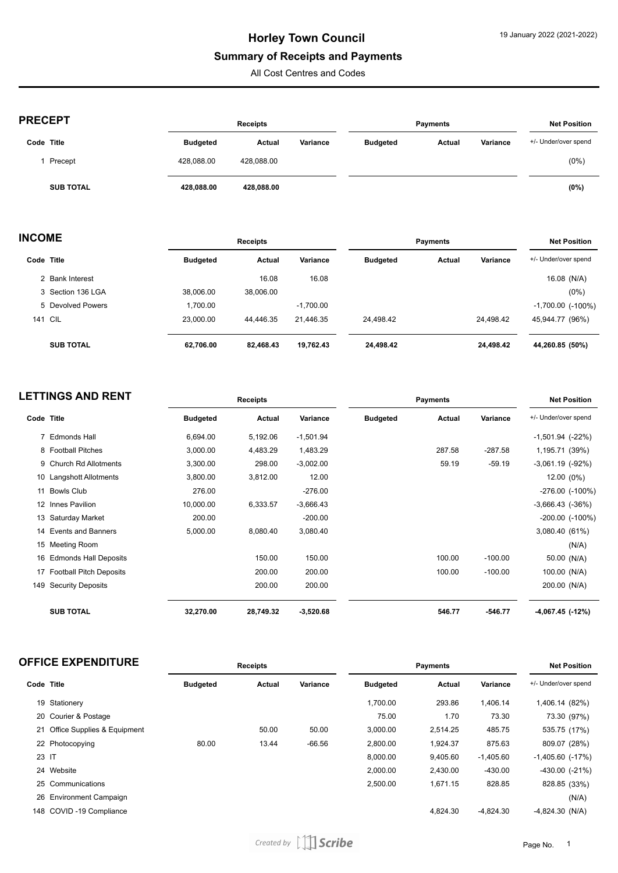# **Summary of Receipts and Payments**

All Cost Centres and Codes

| <b>PRECEPT</b>   |                 | <b>Receipts</b> |          |                 | <b>Payments</b> |          | <b>Net Position</b>  |
|------------------|-----------------|-----------------|----------|-----------------|-----------------|----------|----------------------|
| Code Title       | <b>Budgeted</b> | Actual          | Variance | <b>Budgeted</b> | Actual          | Variance | +/- Under/over spend |
| Precept          | 428.088.00      | 428.088.00      |          |                 |                 |          | $(0\%)$              |
| <b>SUB TOTAL</b> | 428.088.00      | 428,088.00      |          |                 |                 |          | (0%)                 |

| <b>INCOME</b> |                   | <b>Receipts</b> |           |             | <b>Payments</b> |        |           | <b>Net Position</b>      |  |
|---------------|-------------------|-----------------|-----------|-------------|-----------------|--------|-----------|--------------------------|--|
|               | Code Title        | <b>Budgeted</b> | Actual    | Variance    | <b>Budgeted</b> | Actual | Variance  | +/- Under/over spend     |  |
|               | 2 Bank Interest   |                 | 16.08     | 16.08       |                 |        |           | 16.08 (N/A)              |  |
|               | 3 Section 136 LGA | 38.006.00       | 38,006.00 |             |                 |        |           | $(0\%)$                  |  |
|               | 5 Devolved Powers | 1,700.00        |           | $-1,700.00$ |                 |        |           | $-1,700.00$ ( $-100\%$ ) |  |
|               | <b>141 CIL</b>    | 23.000.00       | 44.446.35 | 21.446.35   | 24.498.42       |        | 24.498.42 | 45,944.77 (96%)          |  |
|               | <b>SUB TOTAL</b>  | 62,706.00       | 82,468.43 | 19,762.43   | 24,498.42       |        | 24,498.42 | 44,260.85 (50%)          |  |

|            | <b>LETTINGS AND RENT</b>   |                 | <b>Receipts</b> |             |                 | <b>Payments</b> |           | <b>Net Position</b>  |
|------------|----------------------------|-----------------|-----------------|-------------|-----------------|-----------------|-----------|----------------------|
| Code Title |                            | <b>Budgeted</b> | Actual          | Variance    | <b>Budgeted</b> | Actual          | Variance  | +/- Under/over spend |
|            | 7 Edmonds Hall             | 6,694.00        | 5,192.06        | $-1,501.94$ |                 |                 |           | $-1,501.94$ $(-22%)$ |
|            | 8 Football Pitches         | 3,000.00        | 4,483.29        | 1,483.29    |                 | 287.58          | $-287.58$ | 1,195.71 (39%)       |
|            | 9 Church Rd Allotments     | 3,300.00        | 298.00          | $-3,002.00$ |                 | 59.19           | $-59.19$  | $-3,061.19$ $(-92%)$ |
|            | 10 Langshott Allotments    | 3,800.00        | 3,812.00        | 12.00       |                 |                 |           | 12.00 (0%)           |
|            | 11 Bowls Club              | 276.00          |                 | $-276.00$   |                 |                 |           | $-276.00$ $(-100\%)$ |
|            | 12 Innes Pavilion          | 10,000.00       | 6,333.57        | $-3,666.43$ |                 |                 |           | $-3,666.43$ $(-36%)$ |
|            | 13 Saturday Market         | 200.00          |                 | $-200.00$   |                 |                 |           | $-200.00$ $(-100\%)$ |
|            | 14 Events and Banners      | 5,000.00        | 8,080.40        | 3,080.40    |                 |                 |           | 3,080.40 (61%)       |
|            | 15 Meeting Room            |                 |                 |             |                 |                 |           | (N/A)                |
|            | 16 Edmonds Hall Deposits   |                 | 150.00          | 150.00      |                 | 100.00          | $-100.00$ | 50.00 (N/A)          |
|            | 17 Football Pitch Deposits |                 | 200.00          | 200.00      |                 | 100.00          | $-100.00$ | 100.00 (N/A)         |
| 149        | <b>Security Deposits</b>   |                 | 200.00          | 200.00      |                 |                 |           | 200.00 (N/A)         |
|            | <b>SUB TOTAL</b>           | 32,270.00       | 28,749.32       | $-3,520.68$ |                 | 546.77          | $-546.77$ | -4,067.45 (-12%)     |

|  |  | <b>OFFICE EXPENDITURE</b> |
|--|--|---------------------------|
|--|--|---------------------------|

|            | <b>OFFICE EXPENDITURE</b>   |                 | <b>Receipts</b> |          |                 | <b>Payments</b> |             | <b>Net Position</b>  |
|------------|-----------------------------|-----------------|-----------------|----------|-----------------|-----------------|-------------|----------------------|
| Code Title |                             | <b>Budgeted</b> | Actual          | Variance | <b>Budgeted</b> | Actual          | Variance    | +/- Under/over spend |
| 19         | Stationery                  |                 |                 |          | 1.700.00        | 293.86          | 1.406.14    | 1,406.14 (82%)       |
|            | 20 Courier & Postage        |                 |                 |          | 75.00           | 1.70            | 73.30       | 73.30 (97%)          |
| 21         | Office Supplies & Equipment |                 | 50.00           | 50.00    | 3,000.00        | 2,514.25        | 485.75      | 535.75 (17%)         |
|            | 22 Photocopying             | 80.00           | 13.44           | $-66.56$ | 2,800.00        | 1,924.37        | 875.63      | 809.07 (28%)         |
| 23 IT      |                             |                 |                 |          | 8.000.00        | 9,405.60        | $-1,405.60$ | $-1,405.60$ $(-17%)$ |
|            | 24 Website                  |                 |                 |          | 2.000.00        | 2,430.00        | $-430.00$   | $-430.00$ $(-21\%)$  |
|            | 25 Communications           |                 |                 |          | 2,500.00        | 1,671.15        | 828.85      | 828.85 (33%)         |
| 26         | <b>Environment Campaign</b> |                 |                 |          |                 |                 |             | (N/A)                |
|            | 148 COVID-19 Compliance     |                 |                 |          |                 | 4.824.30        | $-4.824.30$ | $-4,824.30$ (N/A)    |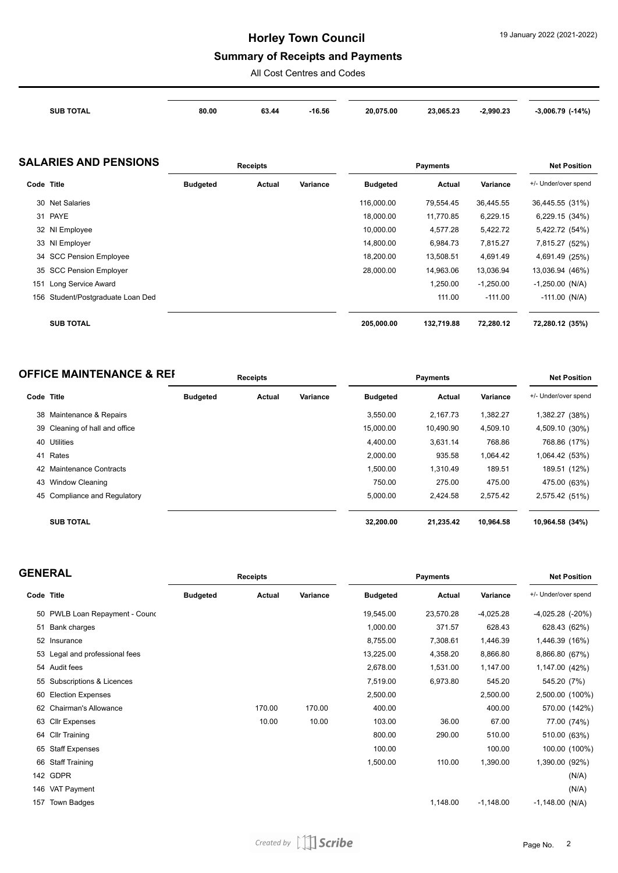## **Summary of Receipts and Payments**

All Cost Centres and Codes

| 23.065.23<br>2.990.23<br>20.075.00 | $-14%$<br>$-3.006.79$ $'$ |
|------------------------------------|---------------------------|
|                                    | 16.56                     |

### **SALARIES AND PENSIONS Receipts Payments Net Position**

|            |                                   |                 | .      |          |                 | .          |             |                      |
|------------|-----------------------------------|-----------------|--------|----------|-----------------|------------|-------------|----------------------|
| Code Title |                                   | <b>Budgeted</b> | Actual | Variance | <b>Budgeted</b> | Actual     | Variance    | +/- Under/over spend |
|            | 30 Net Salaries                   |                 |        |          | 116,000.00      | 79,554.45  | 36,445.55   | 36,445.55 (31%)      |
|            | 31 PAYE                           |                 |        |          | 18.000.00       | 11,770.85  | 6,229.15    | 6,229.15 (34%)       |
|            | 32 NI Employee                    |                 |        |          | 10,000.00       | 4,577.28   | 5,422.72    | 5,422.72 (54%)       |
|            | 33 NI Employer                    |                 |        |          | 14,800.00       | 6,984.73   | 7,815.27    | 7,815.27 (52%)       |
|            | 34 SCC Pension Employee           |                 |        |          | 18,200.00       | 13,508.51  | 4,691.49    | 4,691.49 (25%)       |
|            | 35 SCC Pension Employer           |                 |        |          | 28,000.00       | 14,963.06  | 13,036.94   | 13,036.94 (46%)      |
| 151        | Long Service Award                |                 |        |          |                 | 1,250.00   | $-1,250.00$ | $-1,250.00$ (N/A)    |
|            | 156 Student/Postgraduate Loan Ded |                 |        |          |                 | 111.00     | $-111.00$   | $-111.00$ (N/A)      |
|            |                                   |                 |        |          |                 |            |             |                      |
|            | <b>SUB TOTAL</b>                  |                 |        |          | 205,000.00      | 132,719.88 | 72,280.12   | 72,280.12 (35%)      |

| <b>OFFICE MAINTENANCE &amp; REF</b> | <b>Receipts</b> | Pavments | <b>Net Position</b> |
|-------------------------------------|-----------------|----------|---------------------|
|                                     |                 |          |                     |

| Code Title |                                | <b>Budgeted</b> | Actual | Variance | <b>Budgeted</b> | Actual    | Variance  | +/- Under/over spend |
|------------|--------------------------------|-----------------|--------|----------|-----------------|-----------|-----------|----------------------|
|            | 38 Maintenance & Repairs       |                 |        |          | 3.550.00        | 2.167.73  | 1,382.27  | 1,382.27 (38%)       |
|            | 39 Cleaning of hall and office |                 |        |          | 15.000.00       | 10.490.90 | 4,509.10  | 4,509.10 (30%)       |
|            | 40 Utilities                   |                 |        |          | 4.400.00        | 3,631.14  | 768.86    | 768.86 (17%)         |
| 41         | Rates                          |                 |        |          | 2,000.00        | 935.58    | 1,064.42  | 1,064.42 (53%)       |
|            | 42 Maintenance Contracts       |                 |        |          | 1,500.00        | 1,310.49  | 189.51    | 189.51 (12%)         |
|            | 43 Window Cleaning             |                 |        |          | 750.00          | 275.00    | 475.00    | 475.00 (63%)         |
|            | 45 Compliance and Regulatory   |                 |        |          | 5,000.00        | 2,424.58  | 2,575.42  | 2,575.42 (51%)       |
|            | <b>SUB TOTAL</b>               |                 |        |          | 32,200.00       | 21,235.42 | 10,964.58 | 10,964.58 (34%)      |

| <b>GENERAL</b> |                                |                 | Receipts |          | <b>Payments</b> |           |             | <b>Net Position</b>  |  |
|----------------|--------------------------------|-----------------|----------|----------|-----------------|-----------|-------------|----------------------|--|
| Code Title     |                                | <b>Budgeted</b> | Actual   | Variance | <b>Budgeted</b> | Actual    | Variance    | +/- Under/over spend |  |
|                | 50 PWLB Loan Repayment - Cound |                 |          |          | 19,545.00       | 23,570.28 | $-4,025.28$ | $-4,025.28$ $(-20%)$ |  |
| 51             | Bank charges                   |                 |          |          | 1,000.00        | 371.57    | 628.43      | 628.43 (62%)         |  |
|                | 52 Insurance                   |                 |          |          | 8,755.00        | 7,308.61  | 1,446.39    | 1,446.39 (16%)       |  |
|                | 53 Legal and professional fees |                 |          |          | 13,225.00       | 4,358.20  | 8,866.80    | 8,866.80 (67%)       |  |
|                | 54 Audit fees                  |                 |          |          | 2,678.00        | 1,531.00  | 1,147.00    | 1,147.00 (42%)       |  |
|                | 55 Subscriptions & Licences    |                 |          |          | 7,519.00        | 6,973.80  | 545.20      | 545.20 (7%)          |  |
| 60             | <b>Election Expenses</b>       |                 |          |          | 2,500.00        |           | 2,500.00    | 2,500.00 (100%)      |  |
| 62             | <b>Chairman's Allowance</b>    |                 | 170.00   | 170.00   | 400.00          |           | 400.00      | 570.00 (142%)        |  |
|                | 63 Cllr Expenses               |                 | 10.00    | 10.00    | 103.00          | 36.00     | 67.00       | 77.00 (74%)          |  |
|                | 64 Cllr Training               |                 |          |          | 800.00          | 290.00    | 510.00      | 510.00 (63%)         |  |
| 65             | <b>Staff Expenses</b>          |                 |          |          | 100.00          |           | 100.00      | 100.00 (100%)        |  |
|                | 66 Staff Training              |                 |          |          | 1,500.00        | 110.00    | 1,390.00    | 1,390.00 (92%)       |  |
|                | 142 GDPR                       |                 |          |          |                 |           |             | (N/A)                |  |
|                | 146 VAT Payment                |                 |          |          |                 |           |             | (N/A)                |  |
| 157            | Town Badges                    |                 |          |          |                 | 1,148.00  | $-1,148.00$ | $-1,148.00$ (N/A)    |  |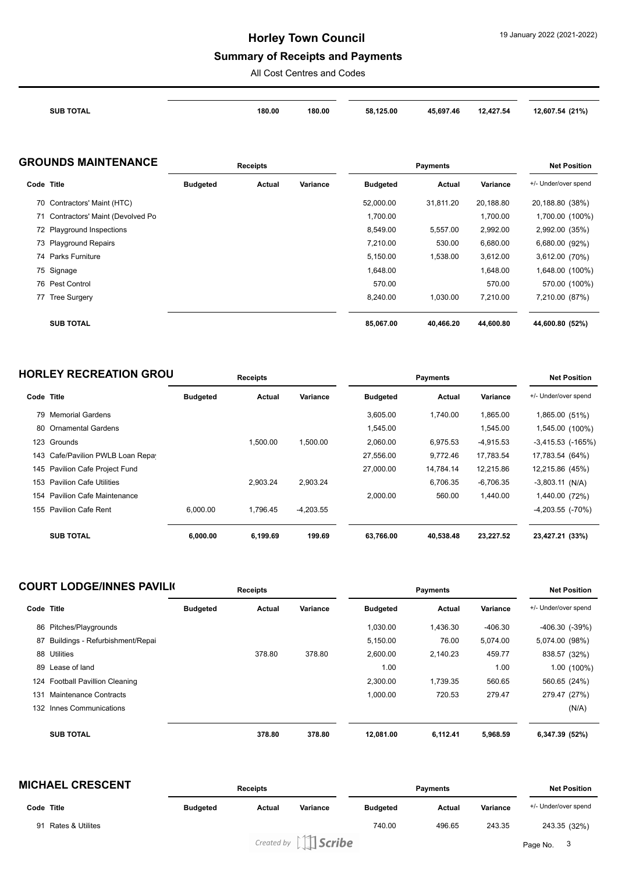## **Summary of Receipts and Payments**

All Cost Centres and Codes

| <b>SUB TOTAL</b> | 180.00<br>180.00 | 58,125.00 | 45,697.46 | 12,427.54 | 12,607.54 (21%) |
|------------------|------------------|-----------|-----------|-----------|-----------------|
|                  |                  |           |           |           |                 |

#### **GROUNDS MAINTENANCE Receipts Payments Net Position**

|            |                                    | <b>ITEREINIS</b> |        |          |                 | <b>ITEL L'ASILIAIL</b> |           |                      |
|------------|------------------------------------|------------------|--------|----------|-----------------|------------------------|-----------|----------------------|
| Code Title |                                    | <b>Budgeted</b>  | Actual | Variance | <b>Budgeted</b> | Actual                 | Variance  | +/- Under/over spend |
|            | 70 Contractors' Maint (HTC)        |                  |        |          | 52,000.00       | 31,811.20              | 20,188.80 | 20,188.80 (38%)      |
|            | 71 Contractors' Maint (Devolved Po |                  |        |          | 1,700.00        |                        | 1,700.00  | 1,700.00 (100%)      |
|            | 72 Playground Inspections          |                  |        |          | 8,549.00        | 5,557.00               | 2,992.00  | 2,992.00 (35%)       |
|            | 73 Playground Repairs              |                  |        |          | 7,210.00        | 530.00                 | 6,680.00  | 6,680.00 (92%)       |
|            | 74 Parks Furniture                 |                  |        |          | 5,150.00        | 1,538.00               | 3,612.00  | 3,612.00 (70%)       |
|            | 75 Signage                         |                  |        |          | 1,648.00        |                        | 1,648.00  | 1,648.00 (100%)      |
|            | 76 Pest Control                    |                  |        |          | 570.00          |                        | 570.00    | 570.00 (100%)        |
| 77         | <b>Tree Surgery</b>                |                  |        |          | 8,240.00        | 1,030.00               | 7,210.00  | 7,210.00 (87%)       |
|            | <b>SUB TOTAL</b>                   |                  |        |          | 85,067.00       | 40.466.20              | 44,600.80 | 44,600.80 (52%)      |

## **HORLEY RECREATION GROUNDER Receipts Payments Payments Payments Payments Payments**

| Title                            | <b>Budgeted</b>                                                                                                                                                                         | Actual   | Variance    | <b>Budgeted</b> | Actual    | Variance    | +/- Under/over spend     |
|----------------------------------|-----------------------------------------------------------------------------------------------------------------------------------------------------------------------------------------|----------|-------------|-----------------|-----------|-------------|--------------------------|
|                                  |                                                                                                                                                                                         |          |             | 3,605.00        | 1.740.00  | 1,865.00    | 1,865.00 (51%)           |
| <b>Ornamental Gardens</b>        |                                                                                                                                                                                         |          |             | 1,545.00        |           | 1,545.00    | 1,545.00 (100%)          |
|                                  |                                                                                                                                                                                         | 1.500.00 | 1.500.00    | 2.060.00        | 6.975.53  | $-4,915.53$ | $-3,415.53$ ( $-165\%$ ) |
|                                  |                                                                                                                                                                                         |          |             | 27,556.00       | 9.772.46  | 17,783.54   | 17,783.54 (64%)          |
|                                  |                                                                                                                                                                                         |          |             | 27,000.00       | 14,784.14 | 12,215.86   | 12,215.86 (45%)          |
|                                  |                                                                                                                                                                                         | 2.903.24 | 2.903.24    |                 | 6.706.35  | $-6.706.35$ | $-3,803.11$ (N/A)        |
| <b>Pavilion Cafe Maintenance</b> |                                                                                                                                                                                         |          |             | 2,000.00        | 560.00    | 1,440.00    | 1,440.00 (72%)           |
|                                  | 6.000.00                                                                                                                                                                                | 1.796.45 | $-4.203.55$ |                 |           |             | $-4,203.55$ ( $-70\%$ )  |
|                                  |                                                                                                                                                                                         |          |             |                 |           |             |                          |
| <b>SUB TOTAL</b>                 | 6,000.00                                                                                                                                                                                | 6,199.69 | 199.69      | 63,766.00       | 40,538.48 | 23,227.52   | 23,427.21 (33%)          |
|                                  | Code<br>79 Memorial Gardens<br>80<br>123 Grounds<br>143 Cafe/Pavilion PWLB Loan Repay<br>145 Pavilion Cafe Project Fund<br>153 Pavilion Cafe Utilities<br>154<br>155 Pavilion Cafe Rent |          |             |                 |           |             |                          |

| <b>COURT LODGE/INNES PAVILION</b> |                                    | <b>Receipts</b> |        |          | <b>Payments</b> |          |           | <b>Net Position</b>  |  |
|-----------------------------------|------------------------------------|-----------------|--------|----------|-----------------|----------|-----------|----------------------|--|
| Code Title                        |                                    | <b>Budgeted</b> | Actual | Variance | <b>Budgeted</b> | Actual   | Variance  | +/- Under/over spend |  |
|                                   | 86 Pitches/Playgrounds             |                 |        |          | 1,030.00        | 1,436.30 | $-406.30$ | $-406.30$ $(-39%)$   |  |
| 87                                | Buildings - Refurbishment/Repai    |                 |        |          | 5,150.00        | 76.00    | 5,074.00  | 5,074.00 (98%)       |  |
|                                   | 88 Utilities                       |                 | 378.80 | 378.80   | 2,600.00        | 2,140.23 | 459.77    | 838.57 (32%)         |  |
|                                   | 89 Lease of land                   |                 |        |          | 1.00            |          | 1.00      | 1.00 (100%)          |  |
| 124                               | <b>Football Pavillion Cleaning</b> |                 |        |          | 2.300.00        | 1.739.35 | 560.65    | 560.65 (24%)         |  |
| 131                               | Maintenance Contracts              |                 |        |          | 1.000.00        | 720.53   | 279.47    | 279.47 (27%)         |  |
| 132                               | Innes Communications               |                 |        |          |                 |          |           | (N/A)                |  |
|                                   | <b>SUB TOTAL</b>                   |                 | 378.80 | 378.80   | 12,081.00       | 6,112.41 | 5,968.59  | 6,347.39 (52%)       |  |

| <b>MICHAEL CRESCENT</b>           |                 | <b>Receipts</b> | <b>Payments</b>                                                |                 | <b>Net Position</b> |          |                      |  |
|-----------------------------------|-----------------|-----------------|----------------------------------------------------------------|-----------------|---------------------|----------|----------------------|--|
| Code Title                        | <b>Budgeted</b> | Actual          | Variance                                                       | <b>Budgeted</b> | Actual              | Variance | +/- Under/over spend |  |
| <b>Rates &amp; Utilites</b><br>91 |                 |                 |                                                                | 740.00          | 496.65              | 243.35   | 243.35 (32%)         |  |
|                                   |                 |                 | Created by $\left[\begin{array}{c c}\end{array}\right]$ Scribe |                 |                     |          | Page No. 3           |  |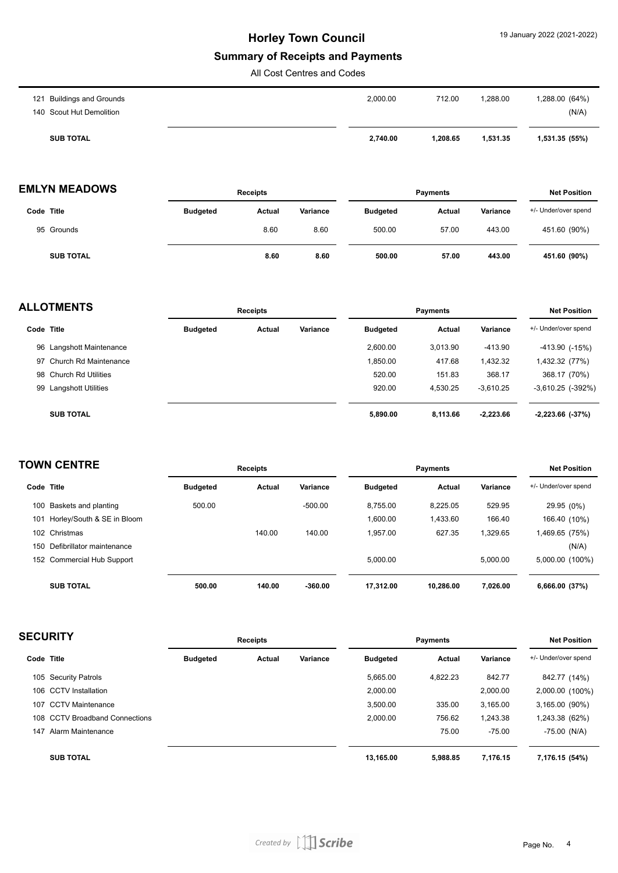#### **Summary of Receipts and Payments**

All Cost Centres and Codes

| <b>SUB TOTAL</b>          | 2,740.00 | 1.208.65 | 1.531.35 | 1,531.35 (55%) |
|---------------------------|----------|----------|----------|----------------|
| 140 Scout Hut Demolition  |          |          |          | (N/A)          |
| 121 Buildings and Grounds | 2,000.00 | 712.00   | 1,288.00 | 1,288.00 (64%) |

| <b>EMLYN MEADOWS</b> | Receipts | Pavments | <b>Net Position</b> |
|----------------------|----------|----------|---------------------|
|                      |          |          |                     |

| Code Title       | <b>Budgeted</b> | <b>Actual</b> | Variance | <b>Budgeted</b> | <b>Actual</b> | Variance | +/- Under/over spend |
|------------------|-----------------|---------------|----------|-----------------|---------------|----------|----------------------|
| 95 Grounds       |                 | 8.60          | 8.60     | 500.00          | 57.00         | 443.00   | 451.60 (90%)         |
| <b>SUB TOTAL</b> |                 | 8.60          | 8.60     | 500.00          | 57.00         | 443.00   | 451.60 (90%)         |

| <b>ALLOTMENTS</b> |                          |                 | <b>Receipts</b> |          |                 | <b>Payments</b> |             |                          |  |
|-------------------|--------------------------|-----------------|-----------------|----------|-----------------|-----------------|-------------|--------------------------|--|
|                   | Code Title               | <b>Budgeted</b> | Actual          | Variance | <b>Budgeted</b> | Actual          | Variance    | +/- Under/over spend     |  |
|                   | 96 Langshott Maintenance |                 |                 |          | 2.600.00        | 3.013.90        | -413.90     | $-413.90$ $(-15%)$       |  |
|                   | 97 Church Rd Maintenance |                 |                 |          | 1.850.00        | 417.68          | 1.432.32    | 1,432.32 (77%)           |  |
|                   | 98 Church Rd Utilities   |                 |                 |          | 520.00          | 151.83          | 368.17      | 368.17 (70%)             |  |
|                   | 99 Langshott Utilities   |                 |                 |          | 920.00          | 4.530.25        | $-3.610.25$ | $-3,610.25$ ( $-392\%$ ) |  |
|                   | <b>SUB TOTAL</b>         |                 |                 |          | 5,890.00        | 8,113.66        | $-2,223.66$ | $-2,223.66$ $(-37%)$     |  |

| <b>TOWN CENTRE</b> |                            |                 | <b>Receipts</b> |           |                 | <b>Payments</b> |          |                      |  |
|--------------------|----------------------------|-----------------|-----------------|-----------|-----------------|-----------------|----------|----------------------|--|
| Code Title         |                            | <b>Budgeted</b> | Actual          | Variance  | <b>Budgeted</b> | Actual          | Variance | +/- Under/over spend |  |
| 100                | Baskets and planting       | 500.00          |                 | $-500.00$ | 8.755.00        | 8.225.05        | 529.95   | 29.95 (0%)           |  |
| 101                | Horley/South & SE in Bloom |                 |                 |           | 1.600.00        | 1.433.60        | 166.40   | 166.40 (10%)         |  |
|                    | 102 Christmas              |                 | 140.00          | 140.00    | 1.957.00        | 627.35          | 1.329.65 | 1,469.65 (75%)       |  |
| 150                | Defibrillator maintenance  |                 |                 |           |                 |                 |          | (N/A)                |  |
|                    | 152 Commercial Hub Support |                 |                 |           | 5.000.00        |                 | 5.000.00 | 5,000.00 (100%)      |  |
|                    | <b>SUB TOTAL</b>           | 500.00          | 140.00          | $-360.00$ | 17.312.00       | 10.286.00       | 7.026.00 | 6,666.00 (37%)       |  |

| <b>SECURITY</b> |                                | <b>Receipts</b> |        |          |                 | <b>Net Position</b> |          |                      |
|-----------------|--------------------------------|-----------------|--------|----------|-----------------|---------------------|----------|----------------------|
| Code Title      |                                | <b>Budgeted</b> | Actual | Variance | <b>Budgeted</b> | Actual              | Variance | +/- Under/over spend |
|                 | 105 Security Patrols           |                 |        |          | 5,665.00        | 4,822.23            | 842.77   | 842.77 (14%)         |
|                 | 106 CCTV Installation          |                 |        |          | 2,000.00        |                     | 2,000.00 | 2,000.00 (100%)      |
| 107             | <b>CCTV Maintenance</b>        |                 |        |          | 3,500.00        | 335.00              | 3,165.00 | 3,165.00 (90%)       |
|                 | 108 CCTV Broadband Connections |                 |        |          | 2,000.00        | 756.62              | 1,243.38 | 1,243.38 (62%)       |
| 147             | Alarm Maintenance              |                 |        |          |                 | 75.00               | $-75.00$ | $-75.00$ (N/A)       |
|                 | <b>SUB TOTAL</b>               |                 |        |          | 13.165.00       | 5.988.85            | 7.176.15 | 7,176.15 (54%)       |